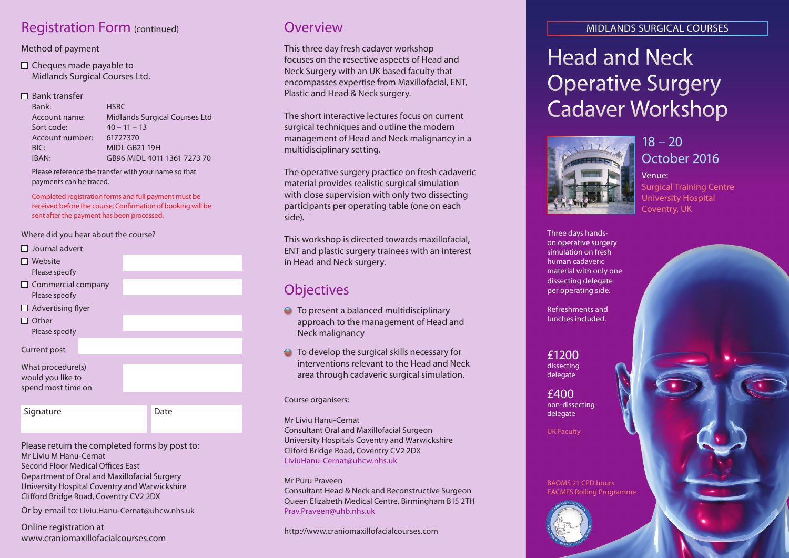## Registration Form (continued) **COVERVIEW**

#### Method of payment

 $\Box$  Cheques made payable to Midlands Surgical Courses Ltd.

#### $\Box$  Bank transfer

| <b>Midlands Surgical Courses Ltd</b><br>Account name:<br>Sort code:<br>$40 - 11 - 13$<br>Account number:<br>61727370<br><b>MIDI GB21 19H</b><br>BIC:<br>IBAN:<br>GB96 MIDL 4011 1361 7273 70 | Bank: | <b>HSBC</b> |
|----------------------------------------------------------------------------------------------------------------------------------------------------------------------------------------------|-------|-------------|
|                                                                                                                                                                                              |       |             |
|                                                                                                                                                                                              |       |             |
|                                                                                                                                                                                              |       |             |
|                                                                                                                                                                                              |       |             |
|                                                                                                                                                                                              |       |             |

Please reference the transfer with your name so that payments can be traced.

Completed registration forms and full payment must be received before the course. Confirmation of booking will be sent after the payment has been processed.

#### Where did you hear about the course?

- $\Box$  Journal advert
- What procedure(s) would you like to spend most time on ■ Website Please specify  $\Box$  Commercial company Please specify  $\Box$  Advertising flyer  $\Box$  Other Please specify Current post Signature Date

Please return the completed forms by post to: Mr Liviu M Hanu-Cernat Second Floor Medical Offices East Department of Oral and Maxillofacial Surgery University Hospital Coventry and Warwickshire Clifford Bridge Road, Coventry CV2 2DX

Or by email to: Liviu.Hanu-Cernat@uhcw.nhs.uk

Online registration at www.craniomaxillofacialcourses.com

This three day fresh cadaver workshop focuses on the resective aspects of Head and Neck Surgery with an UK based faculty that encompasses expertise from Maxillofacial, ENT, Plastic and Head & Neck surgery.

The short interactive lectures focus on current surgical techniques and outline the modern management of Head and Neck malignancy in a multidisciplinary setting.

The operative surgery practice on fresh cadaveric material provides realistic surgical simulation with close supervision with only two dissecting participants per operating table (one on each side).

This workshop is directed towards maxillofacial, ENT and plastic surgery trainees with an interest in Head and Neck surgery.

## **Objectives**

- **O** To present a balanced multidisciplinary approach to the management of Head and Neck malignancy
- To develop the surgical skills necessary for interventions relevant to the Head and Neck area through cadaveric surgical simulation.

#### Course organisers:

Mr Liviu Hanu-Cernat

Consultant Oral and Maxillofacial Surgeon University Hospitals Coventry and Warwickshire Cliford Bridge Road, Coventry CV2 2DX LiviuHanu-Cernat@uhcw.nhs.uk

Mr Puru Praveen

Consultant Head & Neck and Reconstructive Surgeon Queen Elizabeth Medical Centre, Birmingham B15 2TH Pray Prayeen@uhb.nhs.uk

http://www.craniomaxillofacialcourses.com

#### MIDLANDS SURGICAL COURSES

# Head and Neck Operative Surgery Cadaver Workshop



 $18 - 20$ October 2016

### Venue: Surgical Training Centre University Hospital Coventry, UK

Three days handson operative surgery simulation on fresh human cadaveric material with only one dissecting delegate per operating side.

Refreshments and lunches included.

£1200 dissecting delegate

£400 non-dissecting delegate

UK Faculty

BAOMS 21 CPD hours EACMFS Rolling Programme